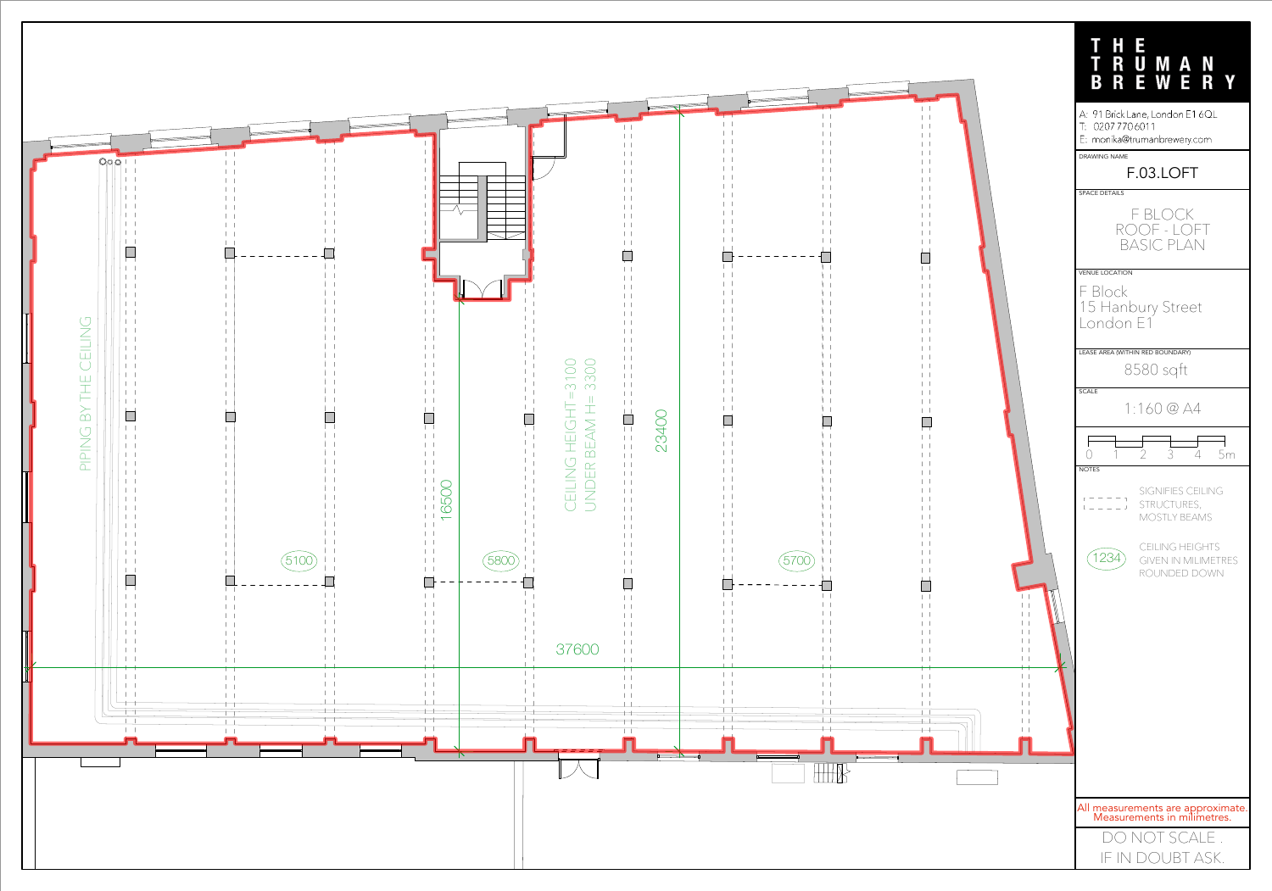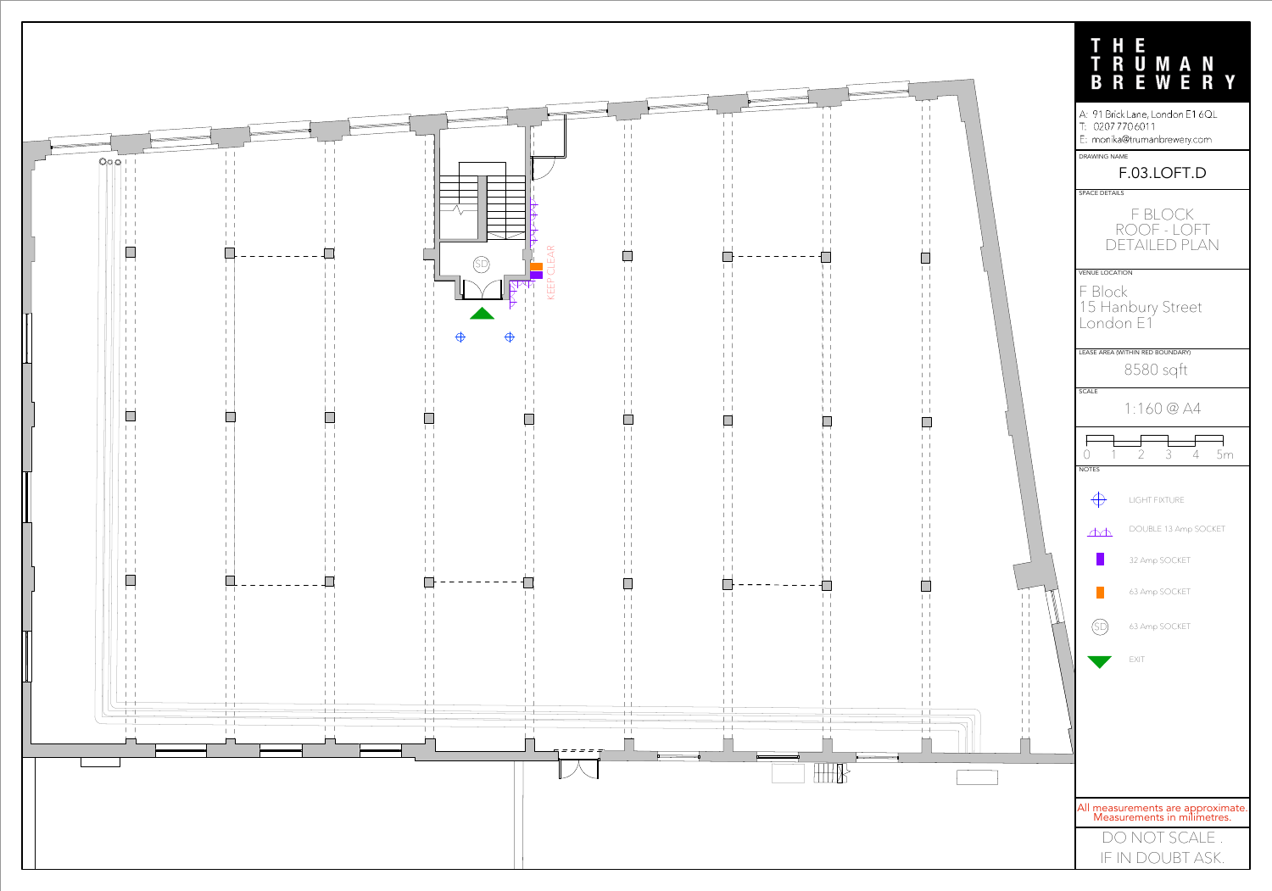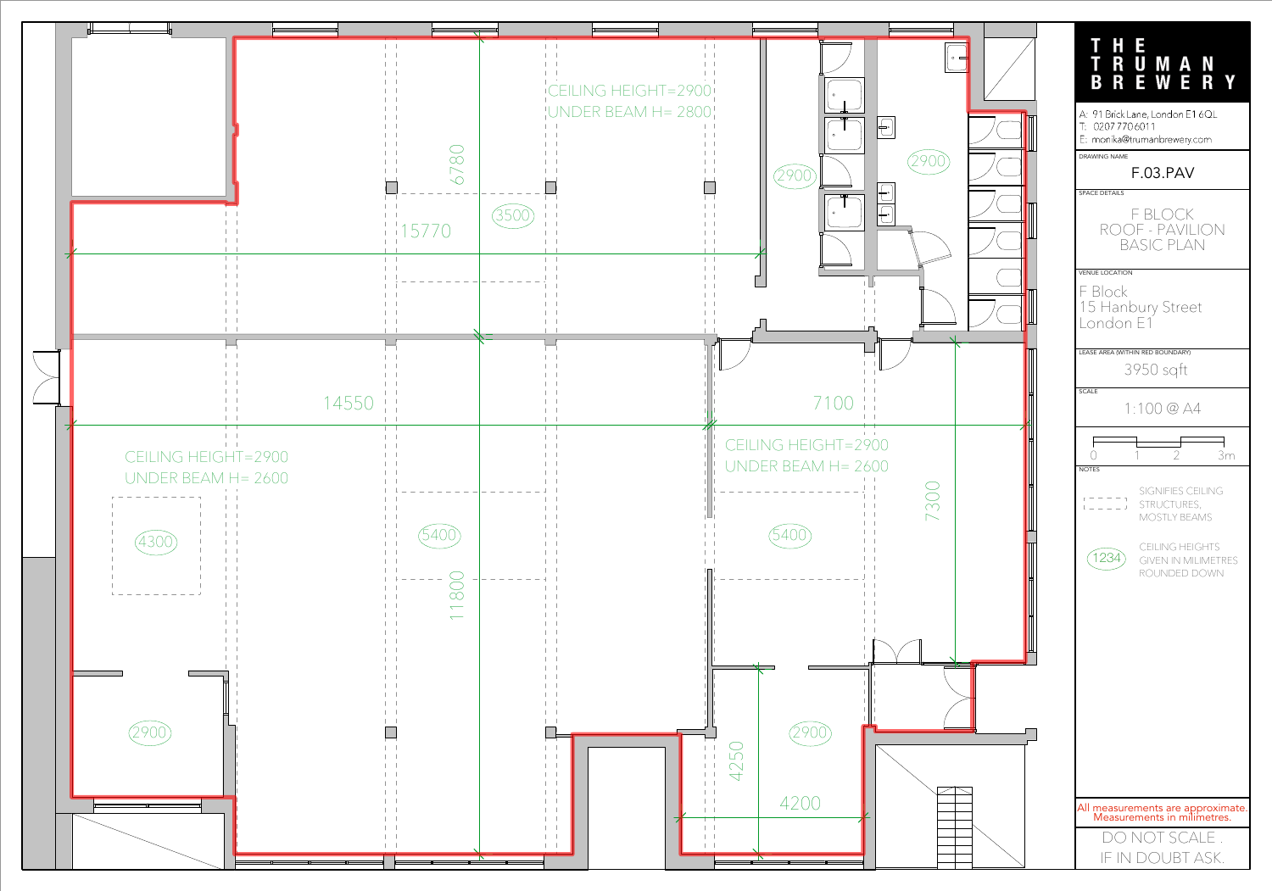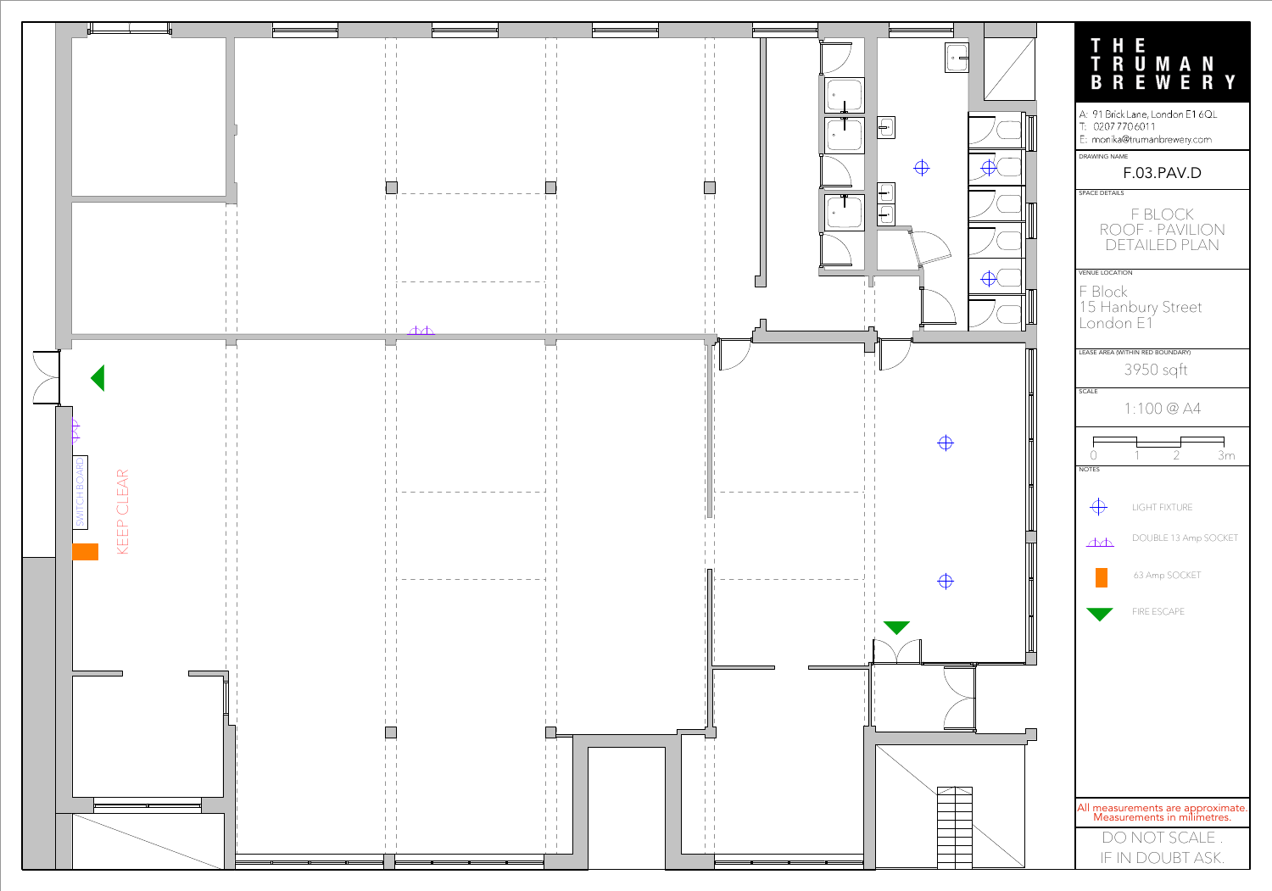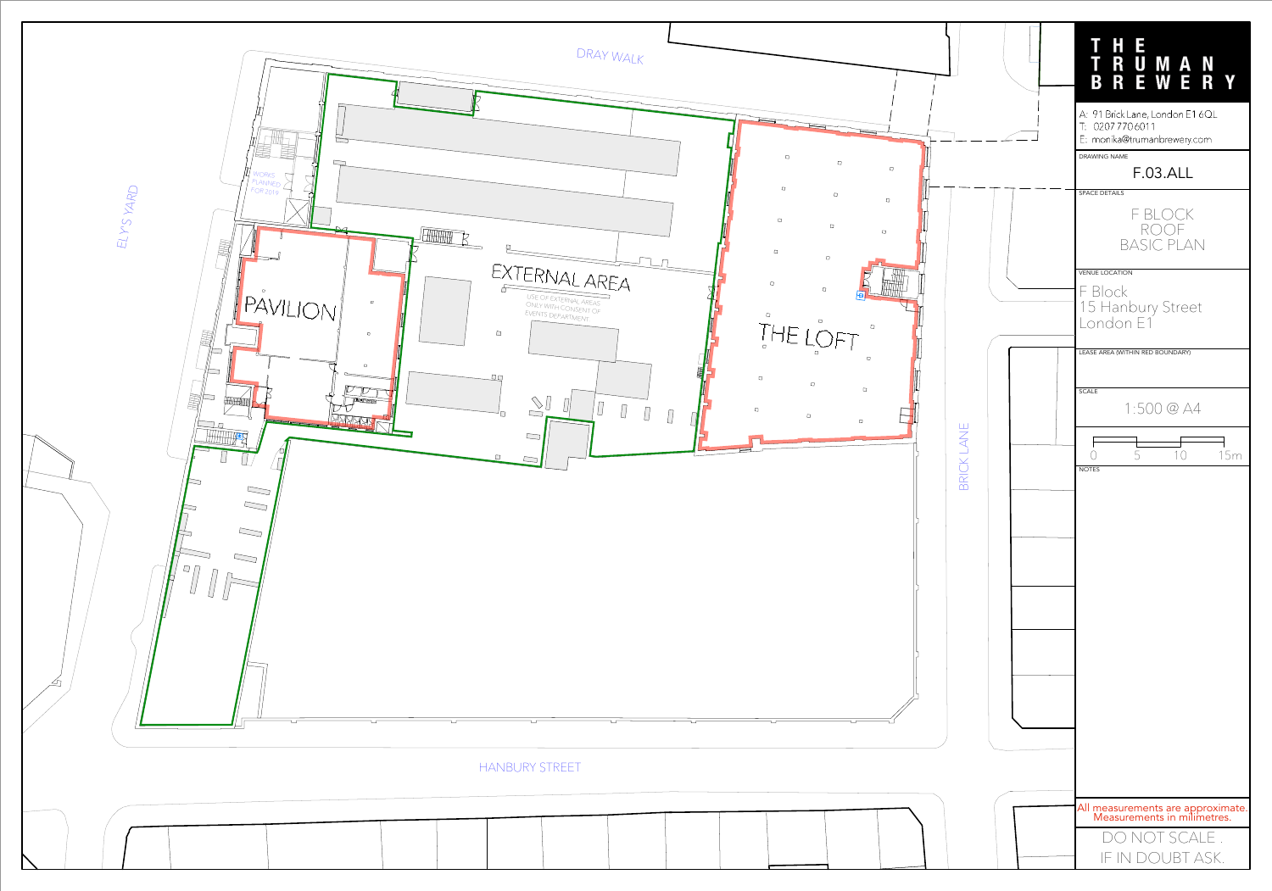